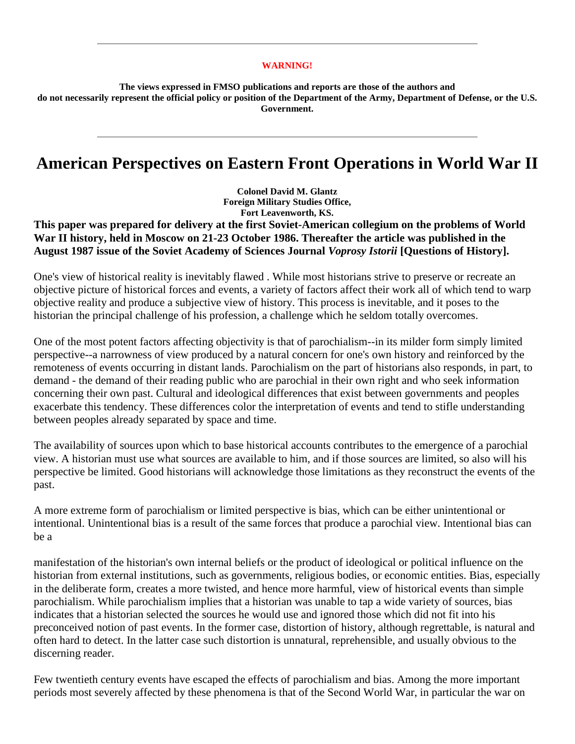#### **WARNING!**

**The views expressed in FMSO publications and reports are those of the authors and do not necessarily represent the official policy or position of the Department of the Army, Department of Defense, or the U.S. Government.** 

# **American Perspectives on Eastern Front Operations in World War II**

**Colonel David M. Glantz Foreign Military Studies Office, Fort Leavenworth, KS.** 

**This paper was prepared for delivery at the first Soviet-American collegium on the problems of World War II history, held in Moscow on 21-23 October 1986. Thereafter the article was published in the August 1987 issue of the Soviet Academy of Sciences Journal** *Voprosy Istorii* **[Questions of History].**

One's view of historical reality is inevitably flawed . While most historians strive to preserve or recreate an objective picture of historical forces and events, a variety of factors affect their work all of which tend to warp objective reality and produce a subjective view of history. This process is inevitable, and it poses to the historian the principal challenge of his profession, a challenge which he seldom totally overcomes.

One of the most potent factors affecting objectivity is that of parochialism--in its milder form simply limited perspective--a narrowness of view produced by a natural concern for one's own history and reinforced by the remoteness of events occurring in distant lands. Parochialism on the part of historians also responds, in part, to demand - the demand of their reading public who are parochial in their own right and who seek information concerning their own past. Cultural and ideological differences that exist between governments and peoples exacerbate this tendency. These differences color the interpretation of events and tend to stifle understanding between peoples already separated by space and time.

The availability of sources upon which to base historical accounts contributes to the emergence of a parochial view. A historian must use what sources are available to him, and if those sources are limited, so also will his perspective be limited. Good historians will acknowledge those limitations as they reconstruct the events of the past.

A more extreme form of parochialism or limited perspective is bias, which can be either unintentional or intentional. Unintentional bias is a result of the same forces that produce a parochial view. Intentional bias can be a

manifestation of the historian's own internal beliefs or the product of ideological or political influence on the historian from external institutions, such as governments, religious bodies, or economic entities. Bias, especially in the deliberate form, creates a more twisted, and hence more harmful, view of historical events than simple parochialism. While parochialism implies that a historian was unable to tap a wide variety of sources, bias indicates that a historian selected the sources he would use and ignored those which did not fit into his preconceived notion of past events. In the former case, distortion of history, although regrettable, is natural and often hard to detect. In the latter case such distortion is unnatural, reprehensible, and usually obvious to the discerning reader.

Few twentieth century events have escaped the effects of parochialism and bias. Among the more important periods most severely affected by these phenomena is that of the Second World War, in particular the war on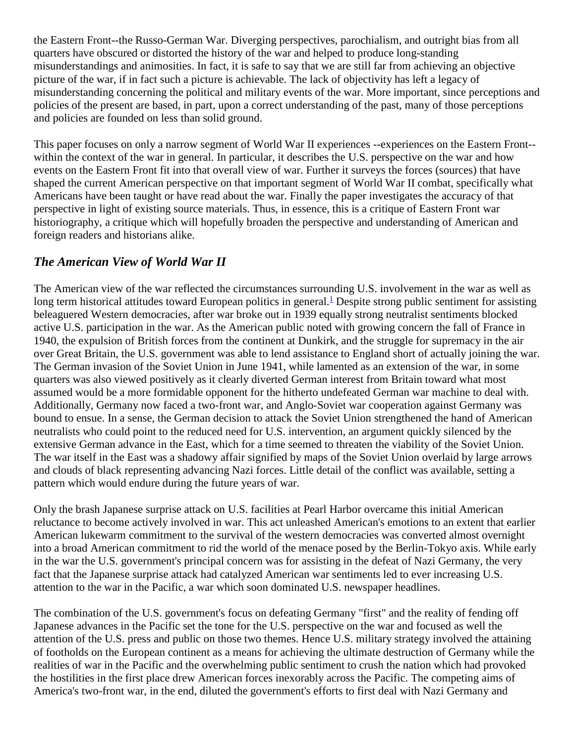the Eastern Front--the Russo-German War. Diverging perspectives, parochialism, and outright bias from all quarters have obscured or distorted the history of the war and helped to produce long-standing misunderstandings and animosities. In fact, it is safe to say that we are still far from achieving an objective picture of the war, if in fact such a picture is achievable. The lack of objectivity has left a legacy of misunderstanding concerning the political and military events of the war. More important, since perceptions and policies of the present are based, in part, upon a correct understanding of the past, many of those perceptions and policies are founded on less than solid ground.

This paper focuses on only a narrow segment of World War II experiences --experiences on the Eastern Front- within the context of the war in general. In particular, it describes the U.S. perspective on the war and how events on the Eastern Front fit into that overall view of war. Further it surveys the forces (sources) that have shaped the current American perspective on that important segment of World War II combat, specifically what Americans have been taught or have read about the war. Finally the paper investigates the accuracy of that perspective in light of existing source materials. Thus, in essence, this is a critique of Eastern Front war historiography, a critique which will hopefully broaden the perspective and understanding of American and foreign readers and historians alike.

## *The American View of World War II*

The American view of the war reflected the circumstances surrounding U.S. involvement in the war as well as long term historical attitudes toward European politics in general.<sup>1</sup> Despite strong public sentiment for assisting beleaguered Western democracies, after war broke out in 1939 equally strong neutralist sentiments blocked active U.S. participation in the war. As the American public noted with growing concern the fall of France in 1940, the expulsion of British forces from the continent at Dunkirk, and the struggle for supremacy in the air over Great Britain, the U.S. government was able to lend assistance to England short of actually joining the war. The German invasion of the Soviet Union in June 1941, while lamented as an extension of the war, in some quarters was also viewed positively as it clearly diverted German interest from Britain toward what most assumed would be a more formidable opponent for the hitherto undefeated German war machine to deal with. Additionally, Germany now faced a two-front war, and Anglo-Soviet war cooperation against Germany was bound to ensue. In a sense, the German decision to attack the Soviet Union strengthened the hand of American neutralists who could point to the reduced need for U.S. intervention, an argument quickly silenced by the extensive German advance in the East, which for a time seemed to threaten the viability of the Soviet Union. The war itself in the East was a shadowy affair signified by maps of the Soviet Union overlaid by large arrows and clouds of black representing advancing Nazi forces. Little detail of the conflict was available, setting a pattern which would endure during the future years of war.

Only the brash Japanese surprise attack on U.S. facilities at Pearl Harbor overcame this initial American reluctance to become actively involved in war. This act unleashed American's emotions to an extent that earlier American lukewarm commitment to the survival of the western democracies was converted almost overnight into a broad American commitment to rid the world of the menace posed by the Berlin-Tokyo axis. While early in the war the U.S. government's principal concern was for assisting in the defeat of Nazi Germany, the very fact that the Japanese surprise attack had catalyzed American war sentiments led to ever increasing U.S. attention to the war in the Pacific, a war which soon dominated U.S. newspaper headlines.

The combination of the U.S. government's focus on defeating Germany "first" and the reality of fending off Japanese advances in the Pacific set the tone for the U.S. perspective on the war and focused as well the attention of the U.S. press and public on those two themes. Hence U.S. military strategy involved the attaining of footholds on the European continent as a means for achieving the ultimate destruction of Germany while the realities of war in the Pacific and the overwhelming public sentiment to crush the nation which had provoked the hostilities in the first place drew American forces inexorably across the Pacific. The competing aims of America's two-front war, in the end, diluted the government's efforts to first deal with Nazi Germany and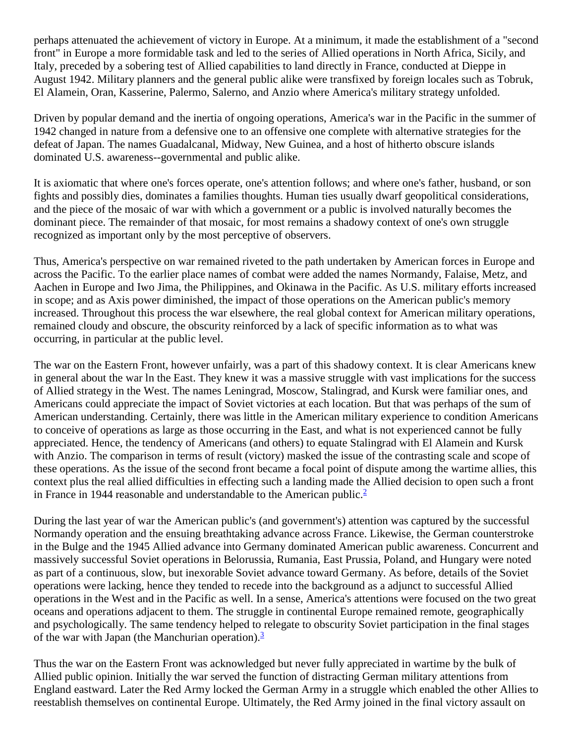perhaps attenuated the achievement of victory in Europe. At a minimum, it made the establishment of a "second front" in Europe a more formidable task and led to the series of Allied operations in North Africa, Sicily, and Italy, preceded by a sobering test of Allied capabilities to land directly in France, conducted at Dieppe in August 1942. Military planners and the general public alike were transfixed by foreign locales such as Tobruk, El Alamein, Oran, Kasserine, Palermo, Salerno, and Anzio where America's military strategy unfolded.

Driven by popular demand and the inertia of ongoing operations, America's war in the Pacific in the summer of 1942 changed in nature from a defensive one to an offensive one complete with alternative strategies for the defeat of Japan. The names Guadalcanal, Midway, New Guinea, and a host of hitherto obscure islands dominated U.S. awareness--governmental and public alike.

It is axiomatic that where one's forces operate, one's attention follows; and where one's father, husband, or son fights and possibly dies, dominates a families thoughts. Human ties usually dwarf geopolitical considerations, and the piece of the mosaic of war with which a government or a public is involved naturally becomes the dominant piece. The remainder of that mosaic, for most remains a shadowy context of one's own struggle recognized as important only by the most perceptive of observers.

Thus, America's perspective on war remained riveted to the path undertaken by American forces in Europe and across the Pacific. To the earlier place names of combat were added the names Normandy, Falaise, Metz, and Aachen in Europe and Iwo Jima, the Philippines, and Okinawa in the Pacific. As U.S. military efforts increased in scope; and as Axis power diminished, the impact of those operations on the American public's memory increased. Throughout this process the war elsewhere, the real global context for American military operations, remained cloudy and obscure, the obscurity reinforced by a lack of specific information as to what was occurring, in particular at the public level.

The war on the Eastern Front, however unfairly, was a part of this shadowy context. It is clear Americans knew in general about the war ln the East. They knew it was a massive struggle with vast implications for the success of Allied strategy in the West. The names Leningrad, Moscow, Stalingrad, and Kursk were familiar ones, and Americans could appreciate the impact of Soviet victories at each location. But that was perhaps of the sum of American understanding. Certainly, there was little in the American military experience to condition Americans to conceive of operations as large as those occurring in the East, and what is not experienced cannot be fully appreciated. Hence, the tendency of Americans (and others) to equate Stalingrad with El Alamein and Kursk with Anzio. The comparison in terms of result (victory) masked the issue of the contrasting scale and scope of these operations. As the issue of the second front became a focal point of dispute among the wartime allies, this context plus the real allied difficulties in effecting such a landing made the Allied decision to open such a front in France in 1944 reasonable and understandable to the American public. $\frac{2}{3}$ 

During the last year of war the American public's (and government's) attention was captured by the successful Normandy operation and the ensuing breathtaking advance across France. Likewise, the German counterstroke in the Bulge and the 1945 Allied advance into Germany dominated American public awareness. Concurrent and massively successful Soviet operations in Belorussia, Rumania, East Prussia, Poland, and Hungary were noted as part of a continuous, slow, but inexorable Soviet advance toward Germany. As before, details of the Soviet operations were lacking, hence they tended to recede into the background as a adjunct to successful Allied operations in the West and in the Pacific as well. In a sense, America's attentions were focused on the two great oceans and operations adjacent to them. The struggle in continental Europe remained remote, geographically and psychologically. The same tendency helped to relegate to obscurity Soviet participation in the final stages of the war with Japan (the Manchurian operation). $\frac{3}{2}$  $\frac{3}{2}$  $\frac{3}{2}$ 

Thus the war on the Eastern Front was acknowledged but never fully appreciated in wartime by the bulk of Allied public opinion. Initially the war served the function of distracting German military attentions from England eastward. Later the Red Army locked the German Army in a struggle which enabled the other Allies to reestablish themselves on continental Europe. Ultimately, the Red Army joined in the final victory assault on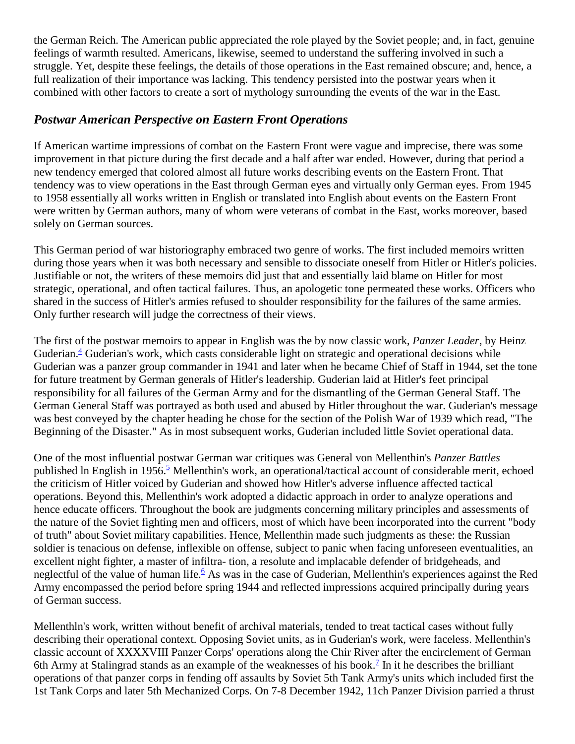the German Reich. The American public appreciated the role played by the Soviet people; and, in fact, genuine feelings of warmth resulted. Americans, likewise, seemed to understand the suffering involved in such a struggle. Yet, despite these feelings, the details of those operations in the East remained obscure; and, hence, a full realization of their importance was lacking. This tendency persisted into the postwar years when it combined with other factors to create a sort of mythology surrounding the events of the war in the East.

#### *Postwar American Perspective on Eastern Front Operations*

If American wartime impressions of combat on the Eastern Front were vague and imprecise, there was some improvement in that picture during the first decade and a half after war ended. However, during that period a new tendency emerged that colored almost all future works describing events on the Eastern Front. That tendency was to view operations in the East through German eyes and virtually only German eyes. From 1945 to 1958 essentially all works written in English or translated into English about events on the Eastern Front were written by German authors, many of whom were veterans of combat in the East, works moreover, based solely on German sources.

This German period of war historiography embraced two genre of works. The first included memoirs written during those years when it was both necessary and sensible to dissociate oneself from Hitler or Hitler's policies. Justifiable or not, the writers of these memoirs did just that and essentially laid blame on Hitler for most strategic, operational, and often tactical failures. Thus, an apologetic tone permeated these works. Officers who shared in the success of Hitler's armies refused to shoulder responsibility for the failures of the same armies. Only further research will judge the correctness of their views.

The first of the postwar memoirs to appear in English was the by now classic work, *Panzer Leader*, by Heinz Guderian.<sup>4</sup> Guderian's work, which casts considerable light on strategic and operational decisions while Guderian was a panzer group commander in 1941 and later when he became Chief of Staff in 1944, set the tone for future treatment by German generals of Hitler's leadership. Guderian laid at Hitler's feet principal responsibility for all failures of the German Army and for the dismantling of the German General Staff. The German General Staff was portrayed as both used and abused by Hitler throughout the war. Guderian's message was best conveyed by the chapter heading he chose for the section of the Polish War of 1939 which read, "The Beginning of the Disaster." As in most subsequent works, Guderian included little Soviet operational data.

One of the most influential postwar German war critiques was General von Mellenthin's *Panzer Battles* published ln English in 19[5](http://fmso.leavenworth.army.mil/documents/e-front.htm#5)6.<sup>5</sup> Mellenthin's work, an operational/tactical account of considerable merit, echoed the criticism of Hitler voiced by Guderian and showed how Hitler's adverse influence affected tactical operations. Beyond this, Mellenthin's work adopted a didactic approach in order to analyze operations and hence educate officers. Throughout the book are judgments concerning military principles and assessments of the nature of the Soviet fighting men and officers, most of which have been incorporated into the current "body of truth" about Soviet military capabilities. Hence, Mellenthin made such judgments as these: the Russian soldier is tenacious on defense, inflexible on offense, subject to panic when facing unforeseen eventualities, an excellent night fighter, a master of infiltra- tion, a resolute and implacable defender of bridgeheads, and neglectful of the value of human life.<sup>6</sup> As was in the case of Guderian, Mellenthin's experiences against the Red Army encompassed the period before spring 1944 and reflected impressions acquired principally during years of German success.

Mellenthln's work, written without benefit of archival materials, tended to treat tactical cases without fully describing their operational context. Opposing Soviet units, as in Guderian's work, were faceless. Mellenthin's classic account of XXXXVIII Panzer Corps' operations along the Chir River after the encirclement of German 6th Army at Stalingrad stands as an example of the weaknesses of his book.<sup>7</sup> In it he describes the brilliant operations of that panzer corps in fending off assaults by Soviet 5th Tank Army's units which included first the 1st Tank Corps and later 5th Mechanized Corps. On 7-8 December 1942, 11ch Panzer Division parried a thrust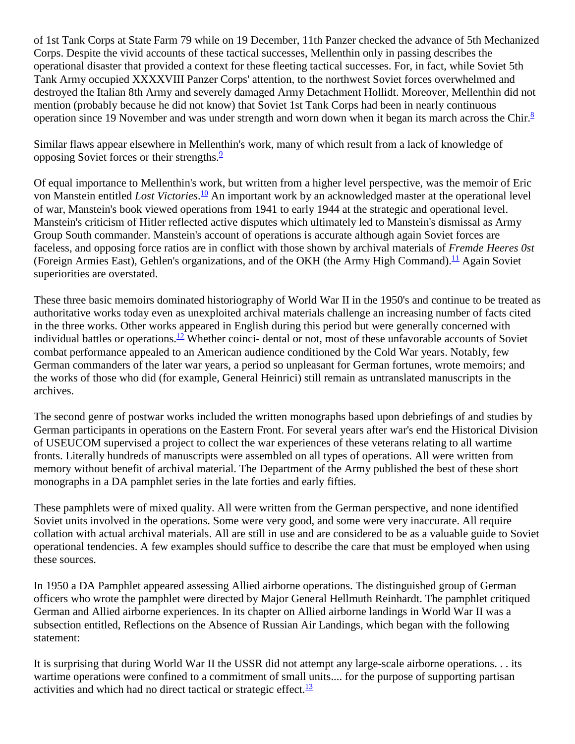of 1st Tank Corps at State Farm 79 while on 19 December, 11th Panzer checked the advance of 5th Mechanized Corps. Despite the vivid accounts of these tactical successes, Mellenthin only in passing describes the operational disaster that provided a context for these fleeting tactical successes. For, in fact, while Soviet 5th Tank Army occupied XXXXVIII Panzer Corps' attention, to the northwest Soviet forces overwhelmed and destroyed the Italian 8th Army and severely damaged Army Detachment Hollidt. Moreover, Mellenthin did not mention (probably because he did not know) that Soviet 1st Tank Corps had been in nearly continuous operation since 19 November and was under strength and worn down when it began its march across the Chir. $8$ 

Similar flaws appear elsewhere in Mellenthin's work, many of which result from a lack of knowledge of opposing Soviet forces or their strengths. $\frac{9}{2}$ 

Of equal importance to Mellenthin's work, but written from a higher level perspective, was the memoir of Eric von Manstein entitled *Lost Victories*. [10](http://fmso.leavenworth.army.mil/documents/e-front.htm#10) An important work by an acknowledged master at the operational level of war, Manstein's book viewed operations from 1941 to early 1944 at the strategic and operational level. Manstein's criticism of Hitler reflected active disputes which ultimately led to Manstein's dismissal as Army Group South commander. Manstein's account of operations is accurate although again Soviet forces are faceless, and opposing force ratios are in conflict with those shown by archival materials of *Fremde Heeres 0st*  (Foreign Armies East), Gehlen's organizations, and of the OKH (the Army High Command).<sup>11</sup> Again Soviet superiorities are overstated.

These three basic memoirs dominated historiography of World War II in the 1950's and continue to be treated as authoritative works today even as unexploited archival materials challenge an increasing number of facts cited in the three works. Other works appeared in English during this period but were generally concerned with individual battles or operations.<sup>12</sup> Whether coinci- dental or not, most of these unfavorable accounts of Soviet combat performance appealed to an American audience conditioned by the Cold War years. Notably, few German commanders of the later war years, a period so unpleasant for German fortunes, wrote memoirs; and the works of those who did (for example, General Heinrici) still remain as untranslated manuscripts in the archives.

The second genre of postwar works included the written monographs based upon debriefings of and studies by German participants in operations on the Eastern Front. For several years after war's end the Historical Division of USEUCOM supervised a project to collect the war experiences of these veterans relating to all wartime fronts. Literally hundreds of manuscripts were assembled on all types of operations. All were written from memory without benefit of archival material. The Department of the Army published the best of these short monographs in a DA pamphlet series in the late forties and early fifties.

These pamphlets were of mixed quality. All were written from the German perspective, and none identified Soviet units involved in the operations. Some were very good, and some were very inaccurate. All require collation with actual archival materials. All are still in use and are considered to be as a valuable guide to Soviet operational tendencies. A few examples should suffice to describe the care that must be employed when using these sources.

In 1950 a DA Pamphlet appeared assessing Allied airborne operations. The distinguished group of German officers who wrote the pamphlet were directed by Major General Hellmuth Reinhardt. The pamphlet critiqued German and Allied airborne experiences. In its chapter on Allied airborne landings in World War II was a subsection entitled, Reflections on the Absence of Russian Air Landings, which began with the following statement:

It is surprising that during World War II the USSR did not attempt any large-scale airborne operations. . . its wartime operations were confined to a commitment of small units.... for the purpose of supporting partisan activities and which had no direct tactical or strategic effect. $\frac{13}{12}$  $\frac{13}{12}$  $\frac{13}{12}$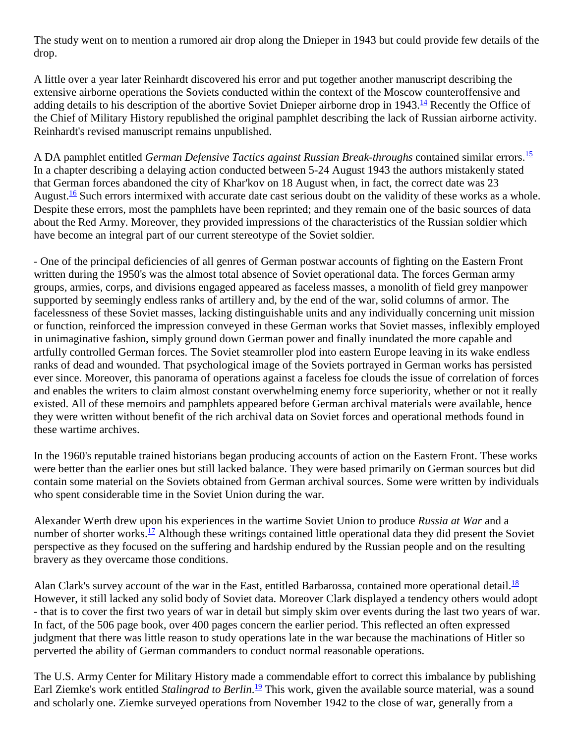The study went on to mention a rumored air drop along the Dnieper in 1943 but could provide few details of the drop.

A little over a year later Reinhardt discovered his error and put together another manuscript describing the extensive airborne operations the Soviets conducted within the context of the Moscow counteroffensive and adding details to his description of the abortive Soviet Dnieper airborne drop in  $1943.\frac{14}{14}$  Recently the Office of the Chief of Military History republished the original pamphlet describing the lack of Russian airborne activity. Reinhardt's revised manuscript remains unpublished.

A DA pamphlet entitled *German Defensive Tactics against Russian Break*-*throughs* contained similar errors[.15](http://fmso.leavenworth.army.mil/documents/e-front.htm#15) In a chapter describing a delaying action conducted between 5-24 August 1943 the authors mistakenly stated that German forces abandoned the city of Khar'kov on 18 August when, in fact, the correct date was 23 August.<sup>16</sup> Such errors intermixed with accurate date cast serious doubt on the validity of these works as a whole. Despite these errors, most the pamphlets have been reprinted; and they remain one of the basic sources of data about the Red Army. Moreover, they provided impressions of the characteristics of the Russian soldier which have become an integral part of our current stereotype of the Soviet soldier.

- One of the principal deficiencies of all genres of German postwar accounts of fighting on the Eastern Front written during the 1950's was the almost total absence of Soviet operational data. The forces German army groups, armies, corps, and divisions engaged appeared as faceless masses, a monolith of field grey manpower supported by seemingly endless ranks of artillery and, by the end of the war, solid columns of armor. The facelessness of these Soviet masses, lacking distinguishable units and any individually concerning unit mission or function, reinforced the impression conveyed in these German works that Soviet masses, inflexibly employed in unimaginative fashion, simply ground down German power and finally inundated the more capable and artfully controlled German forces. The Soviet steamroller plod into eastern Europe leaving in its wake endless ranks of dead and wounded. That psychological image of the Soviets portrayed in German works has persisted ever since. Moreover, this panorama of operations against a faceless foe clouds the issue of correlation of forces and enables the writers to claim almost constant overwhelming enemy force superiority, whether or not it really existed. All of these memoirs and pamphlets appeared before German archival materials were available, hence they were written without benefit of the rich archival data on Soviet forces and operational methods found in these wartime archives.

In the 1960's reputable trained historians began producing accounts of action on the Eastern Front. These works were better than the earlier ones but still lacked balance. They were based primarily on German sources but did contain some material on the Soviets obtained from German archival sources. Some were written by individuals who spent considerable time in the Soviet Union during the war.

Alexander Werth drew upon his experiences in the wartime Soviet Union to produce *Russia at War* and a number of shorter works.<sup>[17](http://fmso.leavenworth.army.mil/documents/e-front.htm#17)</sup> Although these writings contained little operational data they did present the Soviet perspective as they focused on the suffering and hardship endured by the Russian people and on the resulting bravery as they overcame those conditions.

Alan Clark's survey account of the war in the East, entitled Barbarossa, contained more operational detail. $\frac{18}{18}$ However, it still lacked any solid body of Soviet data. Moreover Clark displayed a tendency others would adopt - that is to cover the first two years of war in detail but simply skim over events during the last two years of war. In fact, of the 506 page book, over 400 pages concern the earlier period. This reflected an often expressed judgment that there was little reason to study operations late in the war because the machinations of Hitler so perverted the ability of German commanders to conduct normal reasonable operations.

The U.S. Army Center for Military History made a commendable effort to correct this imbalance by publishing Earl Ziemke's work entitled *Stalingrad to Berlin*. [19](http://fmso.leavenworth.army.mil/documents/e-front.htm#19) This work, given the available source material, was a sound and scholarly one. Ziemke surveyed operations from November 1942 to the close of war, generally from a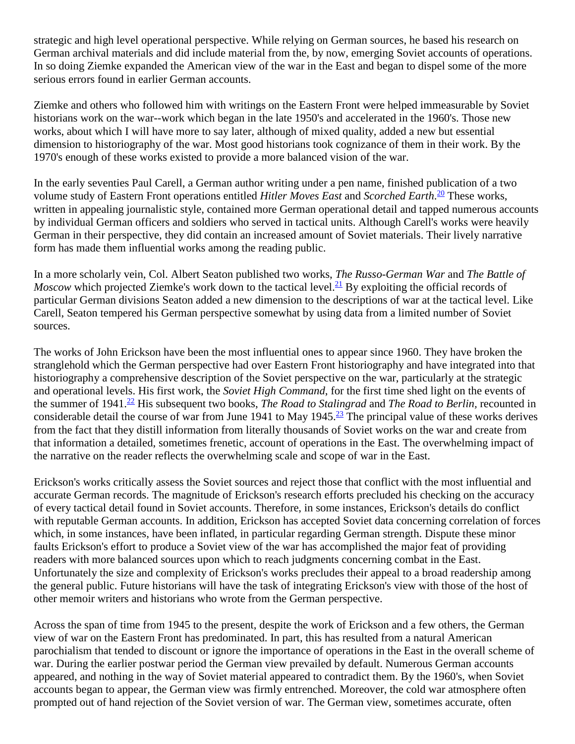strategic and high level operational perspective. While relying on German sources, he based his research on German archival materials and did include material from the, by now, emerging Soviet accounts of operations. In so doing Ziemke expanded the American view of the war in the East and began to dispel some of the more serious errors found in earlier German accounts.

Ziemke and others who followed him with writings on the Eastern Front were helped immeasurable by Soviet historians work on the war--work which began in the late 1950's and accelerated in the 1960's. Those new works, about which I will have more to say later, although of mixed quality, added a new but essential dimension to historiography of the war. Most good historians took cognizance of them in their work. By the 1970's enough of these works existed to provide a more balanced vision of the war.

In the early seventies Paul Carell, a German author writing under a pen name, finished publication of a two volume study of Eastern Front operations entitled *Hitler Moves East* and *Scorched Earth*. [20](http://fmso.leavenworth.army.mil/documents/e-front.htm#20) These works, written in appealing journalistic style, contained more German operational detail and tapped numerous accounts by individual German officers and soldiers who served in tactical units. Although Carell's works were heavily German in their perspective, they did contain an increased amount of Soviet materials. Their lively narrative form has made them influential works among the reading public.

In a more scholarly vein, Col. Albert Seaton published two works, *The Russo-German War* and *The Battle of Moscow* which projected Ziemke's work down to the tactical level.<sup>21</sup> By exploiting the official records of particular German divisions Seaton added a new dimension to the descriptions of war at the tactical level. Like Carell, Seaton tempered his German perspective somewhat by using data from a limited number of Soviet sources.

The works of John Erickson have been the most influential ones to appear since 1960. They have broken the stranglehold which the German perspective had over Eastern Front historiography and have integrated into that historiography a comprehensive description of the Soviet perspective on the war, particularly at the strategic and operational levels. His first work, the *Soviet High Command*, for the first time shed light on the events of the summer of 1941[.22](http://fmso.leavenworth.army.mil/documents/e-front.htm#22) His subsequent two books, *The Road to Stalingrad* and *The Road to Berlin,* recounted in considerable detail the course of war from June 1941 to May 1945. $\frac{23}{12}$  The principal value of these works derives from the fact that they distill information from literally thousands of Soviet works on the war and create from that information a detailed, sometimes frenetic, account of operations in the East. The overwhelming impact of the narrative on the reader reflects the overwhelming scale and scope of war in the East.

Erickson's works critically assess the Soviet sources and reject those that conflict with the most influential and accurate German records. The magnitude of Erickson's research efforts precluded his checking on the accuracy of every tactical detail found in Soviet accounts. Therefore, in some instances, Erickson's details do conflict with reputable German accounts. In addition, Erickson has accepted Soviet data concerning correlation of forces which, in some instances, have been inflated, in particular regarding German strength. Dispute these minor faults Erickson's effort to produce a Soviet view of the war has accomplished the major feat of providing readers with more balanced sources upon which to reach judgments concerning combat in the East. Unfortunately the size and complexity of Erickson's works precludes their appeal to a broad readership among the general public. Future historians will have the task of integrating Erickson's view with those of the host of other memoir writers and historians who wrote from the German perspective.

Across the span of time from 1945 to the present, despite the work of Erickson and a few others, the German view of war on the Eastern Front has predominated. In part, this has resulted from a natural American parochialism that tended to discount or ignore the importance of operations in the East in the overall scheme of war. During the earlier postwar period the German view prevailed by default. Numerous German accounts appeared, and nothing in the way of Soviet material appeared to contradict them. By the 1960's, when Soviet accounts began to appear, the German view was firmly entrenched. Moreover, the cold war atmosphere often prompted out of hand rejection of the Soviet version of war. The German view, sometimes accurate, often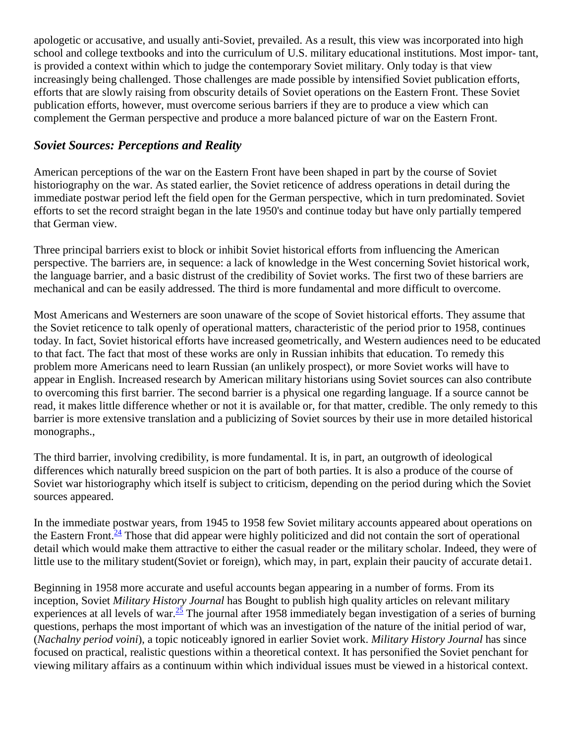apologetic or accusative, and usually anti-Soviet, prevailed. As a result, this view was incorporated into high school and college textbooks and into the curriculum of U.S. military educational institutions. Most impor- tant, is provided a context within which to judge the contemporary Soviet military. Only today is that view increasingly being challenged. Those challenges are made possible by intensified Soviet publication efforts, efforts that are slowly raising from obscurity details of Soviet operations on the Eastern Front. These Soviet publication efforts, however, must overcome serious barriers if they are to produce a view which can complement the German perspective and produce a more balanced picture of war on the Eastern Front.

#### *Soviet Sources: Perceptions and Reality*

American perceptions of the war on the Eastern Front have been shaped in part by the course of Soviet historiography on the war. As stated earlier, the Soviet reticence of address operations in detail during the immediate postwar period left the field open for the German perspective, which in turn predominated. Soviet efforts to set the record straight began in the late 1950's and continue today but have only partially tempered that German view.

Three principal barriers exist to block or inhibit Soviet historical efforts from influencing the American perspective. The barriers are, in sequence: a lack of knowledge in the West concerning Soviet historical work, the language barrier, and a basic distrust of the credibility of Soviet works. The first two of these barriers are mechanical and can be easily addressed. The third is more fundamental and more difficult to overcome.

Most Americans and Westerners are soon unaware of the scope of Soviet historical efforts. They assume that the Soviet reticence to talk openly of operational matters, characteristic of the period prior to 1958, continues today. In fact, Soviet historical efforts have increased geometrically, and Western audiences need to be educated to that fact. The fact that most of these works are only in Russian inhibits that education. To remedy this problem more Americans need to learn Russian (an unlikely prospect), or more Soviet works will have to appear in English. Increased research by American military historians using Soviet sources can also contribute to overcoming this first barrier. The second barrier is a physical one regarding language. If a source cannot be read, it makes little difference whether or not it is available or, for that matter, credible. The only remedy to this barrier is more extensive translation and a publicizing of Soviet sources by their use in more detailed historical monographs.,

The third barrier, involving credibility, is more fundamental. It is, in part, an outgrowth of ideological differences which naturally breed suspicion on the part of both parties. It is also a produce of the course of Soviet war historiography which itself is subject to criticism, depending on the period during which the Soviet sources appeared.

In the immediate postwar years, from 1945 to 1958 few Soviet military accounts appeared about operations on the Eastern Front.<sup>24</sup> Those that did appear were highly politicized and did not contain the sort of operational detail which would make them attractive to either the casual reader or the military scholar. Indeed, they were of little use to the military student(Soviet or foreign), which may, in part, explain their paucity of accurate detail.

Beginning in 1958 more accurate and useful accounts began appearing in a number of forms. From its inception, Soviet *Military History Journal* has Bought to publish high quality articles on relevant military experiences at all levels of war. $\frac{25}{10}$  The journal after 1958 immediately began investigation of a series of burning questions, perhaps the most important of which was an investigation of the nature of the initial period of war, (*Nachalny period voini*), a topic noticeably ignored in earlier Soviet work. *Military History Journal* has since focused on practical, realistic questions within a theoretical context. It has personified the Soviet penchant for viewing military affairs as a continuum within which individual issues must be viewed in a historical context.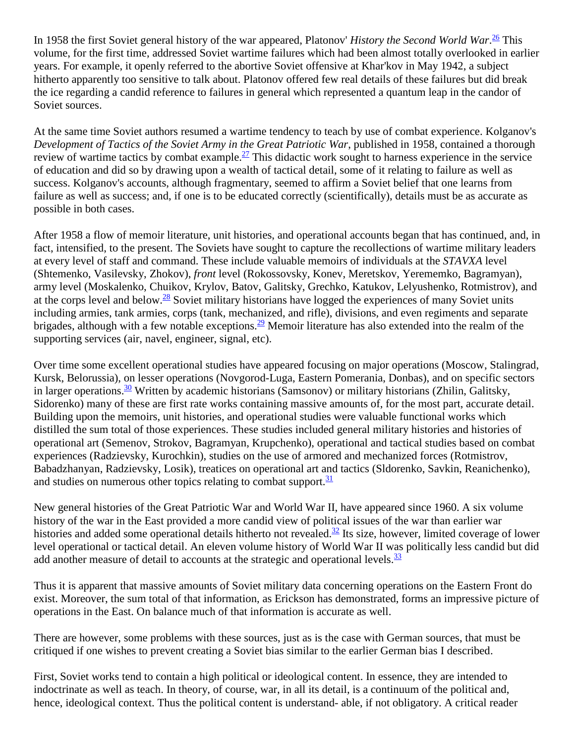In 1958 the first Soviet general history of the war appeared, Platonov' *History the Second World War*.<sup>[26](http://fmso.leavenworth.army.mil/documents/e-front.htm#26)</sup> This volume, for the first time, addressed Soviet wartime failures which had been almost totally overlooked in earlier years. For example, it openly referred to the abortive Soviet offensive at Khar'kov in May 1942, a subject hitherto apparently too sensitive to talk about. Platonov offered few real details of these failures but did break the ice regarding a candid reference to failures in general which represented a quantum leap in the candor of Soviet sources.

At the same time Soviet authors resumed a wartime tendency to teach by use of combat experience. Kolganov's *Development of Tactics of the Soviet Army in the Great Patriotic War*, published in 1958, contained a thorough review of wartime tactics by combat example.  $\frac{27}{2}$  $\frac{27}{2}$  $\frac{27}{2}$  This didactic work sought to harness experience in the service of education and did so by drawing upon a wealth of tactical detail, some of it relating to failure as well as success. Kolganov's accounts, although fragmentary, seemed to affirm a Soviet belief that one learns from failure as well as success; and, if one is to be educated correctly (scientifically), details must be as accurate as possible in both cases.

After 1958 a flow of memoir literature, unit histories, and operational accounts began that has continued, and, in fact, intensified, to the present. The Soviets have sought to capture the recollections of wartime military leaders at every level of staff and command. These include valuable memoirs of individuals at the *STAVXA* level (Shtemenko, Vasilevsky, Zhokov), *front* level (Rokossovsky, Konev, Meretskov, Yerememko, Bagramyan), army level (Moskalenko, Chuikov, Krylov, Batov, Galitsky, Grechko, Katukov, Lelyushenko, Rotmistrov), and at the corps level and below.  $\frac{28}{3}$  $\frac{28}{3}$  $\frac{28}{3}$  Soviet military historians have logged the experiences of many Soviet units including armies, tank armies, corps (tank, mechanized, and rifle), divisions, and even regiments and separate brigades, although with a few notable exceptions.<sup>29</sup> Memoir literature has also extended into the realm of the supporting services (air, navel, engineer, signal, etc).

Over time some excellent operational studies have appeared focusing on major operations (Moscow, Stalingrad, Kursk, Belorussia), on lesser operations (Novgorod-Luga, Eastern Pomerania, Donbas), and on specific sectors in larger operations.<sup>[30](http://fmso.leavenworth.army.mil/documents/e-front.htm#30)</sup> Written by academic historians (Samsonov) or military historians (Zhilin, Galitsky, Sidorenko) many of these are first rate works containing massive amounts of, for the most part, accurate detail. Building upon the memoirs, unit histories, and operational studies were valuable functional works which distilled the sum total of those experiences. These studies included general military histories and histories of operational art (Semenov, Strokov, Bagramyan, Krupchenko), operational and tactical studies based on combat experiences (Radzievsky, Kurochkin), studies on the use of armored and mechanized forces (Rotmistrov, Babadzhanyan, Radzievsky, Losik), treatices on operational art and tactics (Sldorenko, Savkin, Reanichenko), and studies on numerous other topics relating to combat support. $\frac{31}{2}$ 

New general histories of the Great Patriotic War and World War II, have appeared since 1960. A six volume history of the war in the East provided a more candid view of political issues of the war than earlier war histories and added some operational details hitherto not revealed. $32$  Its size, however, limited coverage of lower level operational or tactical detail. An eleven volume history of World War II was politically less candid but did add another measure of detail to accounts at the strategic and operational levels. $\frac{33}{2}$  $\frac{33}{2}$  $\frac{33}{2}$ 

Thus it is apparent that massive amounts of Soviet military data concerning operations on the Eastern Front do exist. Moreover, the sum total of that information, as Erickson has demonstrated, forms an impressive picture of operations in the East. On balance much of that information is accurate as well.

There are however, some problems with these sources, just as is the case with German sources, that must be critiqued if one wishes to prevent creating a Soviet bias similar to the earlier German bias I described.

First, Soviet works tend to contain a high political or ideological content. In essence, they are intended to indoctrinate as well as teach. In theory, of course, war, in all its detail, is a continuum of the political and, hence, ideological context. Thus the political content is understand- able, if not obligatory. A critical reader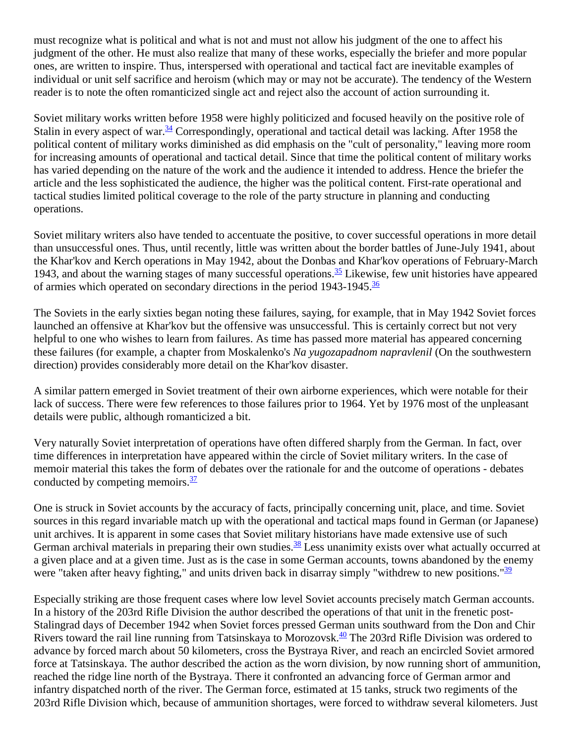must recognize what is political and what is not and must not allow his judgment of the one to affect his judgment of the other. He must also realize that many of these works, especially the briefer and more popular ones, are written to inspire. Thus, interspersed with operational and tactical fact are inevitable examples of individual or unit self sacrifice and heroism (which may or may not be accurate). The tendency of the Western reader is to note the often romanticized single act and reject also the account of action surrounding it.

Soviet military works written before 1958 were highly politicized and focused heavily on the positive role of Stalin in every aspect of war.<sup>[34](http://fmso.leavenworth.army.mil/documents/e-front.htm#34)</sup> Correspondingly, operational and tactical detail was lacking. After 1958 the political content of military works diminished as did emphasis on the "cult of personality," leaving more room for increasing amounts of operational and tactical detail. Since that time the political content of military works has varied depending on the nature of the work and the audience it intended to address. Hence the briefer the article and the less sophisticated the audience, the higher was the political content. First-rate operational and tactical studies limited political coverage to the role of the party structure in planning and conducting operations.

Soviet military writers also have tended to accentuate the positive, to cover successful operations in more detail than unsuccessful ones. Thus, until recently, little was written about the border battles of June-July 1941, about the Khar'kov and Kerch operations in May 1942, about the Donbas and Khar'kov operations of February-March 1943, and about the warning stages of many successful operations. $\frac{35}{2}$  Likewise, few unit histories have appeared of armies which operated on secondary directions in the period 1943-1945.<sup>[36](http://fmso.leavenworth.army.mil/documents/e-front.htm#36)</sup>

The Soviets in the early sixties began noting these failures, saying, for example, that in May 1942 Soviet forces launched an offensive at Khar'kov but the offensive was unsuccessful. This is certainly correct but not very helpful to one who wishes to learn from failures. As time has passed more material has appeared concerning these failures (for example, a chapter from Moskalenko's *Na yugozapadnom napravlenil* (On the southwestern direction) provides considerably more detail on the Khar'kov disaster.

A similar pattern emerged in Soviet treatment of their own airborne experiences, which were notable for their lack of success. There were few references to those failures prior to 1964. Yet by 1976 most of the unpleasant details were public, although romanticized a bit.

Very naturally Soviet interpretation of operations have often differed sharply from the German. In fact, over time differences in interpretation have appeared within the circle of Soviet military writers. In the case of memoir material this takes the form of debates over the rationale for and the outcome of operations - debates conducted by competing memoirs. $\frac{37}{3}$ 

One is struck in Soviet accounts by the accuracy of facts, principally concerning unit, place, and time. Soviet sources in this regard invariable match up with the operational and tactical maps found in German (or Japanese) unit archives. It is apparent in some cases that Soviet military historians have made extensive use of such German archival materials in preparing their own studies.<sup>38</sup> Less unanimity exists over what actually occurred at a given place and at a given time. Just as is the case in some German accounts, towns abandoned by the enemy were "taken after heavy fighting," and units driven back in disarray simply "withdrew to new positions."<sup>39</sup>

Especially striking are those frequent cases where low level Soviet accounts precisely match German accounts. In a history of the 203rd Rifle Division the author described the operations of that unit in the frenetic post-Stalingrad days of December 1942 when Soviet forces pressed German units southward from the Don and Chir Rivers toward the rail line running from Tatsinskaya to Morozovsk.<sup>[40](http://fmso.leavenworth.army.mil/documents/e-front.htm#40)</sup> The 203rd Rifle Division was ordered to advance by forced march about 50 kilometers, cross the Bystraya River, and reach an encircled Soviet armored force at Tatsinskaya. The author described the action as the worn division, by now running short of ammunition, reached the ridge line north of the Bystraya. There it confronted an advancing force of German armor and infantry dispatched north of the river. The German force, estimated at 15 tanks, struck two regiments of the 203rd Rifle Division which, because of ammunition shortages, were forced to withdraw several kilometers. Just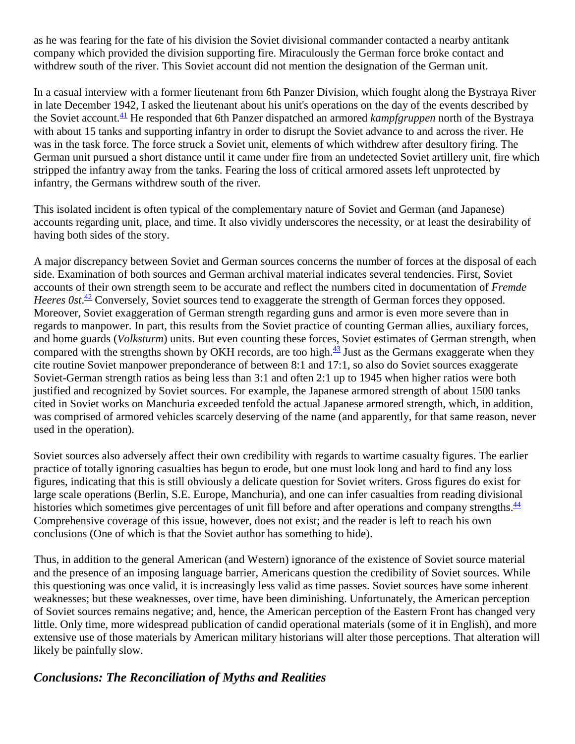as he was fearing for the fate of his division the Soviet divisional commander contacted a nearby antitank company which provided the division supporting fire. Miraculously the German force broke contact and withdrew south of the river. This Soviet account did not mention the designation of the German unit.

In a casual interview with a former lieutenant from 6th Panzer Division, which fought along the Bystraya River in late December 1942, I asked the lieutenant about his unit's operations on the day of the events described by the Soviet account.[41](http://fmso.leavenworth.army.mil/documents/e-front.htm#41) He responded that 6th Panzer dispatched an armored *kampfgruppen* north of the Bystraya with about 15 tanks and supporting infantry in order to disrupt the Soviet advance to and across the river. He was in the task force. The force struck a Soviet unit, elements of which withdrew after desultory firing. The German unit pursued a short distance until it came under fire from an undetected Soviet artillery unit, fire which stripped the infantry away from the tanks. Fearing the loss of critical armored assets left unprotected by infantry, the Germans withdrew south of the river.

This isolated incident is often typical of the complementary nature of Soviet and German (and Japanese) accounts regarding unit, place, and time. It also vividly underscores the necessity, or at least the desirability of having both sides of the story.

A major discrepancy between Soviet and German sources concerns the number of forces at the disposal of each side. Examination of both sources and German archival material indicates several tendencies. First, Soviet accounts of their own strength seem to be accurate and reflect the numbers cited in documentation of *Fremde*  Heeres 0st.<sup>[42](http://fmso.leavenworth.army.mil/documents/e-front.htm#42)</sup> Conversely, Soviet sources tend to exaggerate the strength of German forces they opposed. Moreover, Soviet exaggeration of German strength regarding guns and armor is even more severe than in regards to manpower. In part, this results from the Soviet practice of counting German allies, auxiliary forces, and home guards (*Volksturm*) units. But even counting these forces, Soviet estimates of German strength, when compared with the strengths shown by OKH records, are too high. $\frac{43}{12}$  $\frac{43}{12}$  $\frac{43}{12}$  Just as the Germans exaggerate when they cite routine Soviet manpower preponderance of between 8:1 and 17:1, so also do Soviet sources exaggerate Soviet-German strength ratios as being less than 3:1 and often 2:1 up to 1945 when higher ratios were both justified and recognized by Soviet sources. For example, the Japanese armored strength of about 1500 tanks cited in Soviet works on Manchuria exceeded tenfold the actual Japanese armored strength, which, in addition, was comprised of armored vehicles scarcely deserving of the name (and apparently, for that same reason, never used in the operation).

Soviet sources also adversely affect their own credibility with regards to wartime casualty figures. The earlier practice of totally ignoring casualties has begun to erode, but one must look long and hard to find any loss figures, indicating that this is still obviously a delicate question for Soviet writers. Gross figures do exist for large scale operations (Berlin, S.E. Europe, Manchuria), and one can infer casualties from reading divisional histories which sometimes give percentages of unit fill before and after operations and company strengths.  $\frac{44}{3}$  $\frac{44}{3}$  $\frac{44}{3}$ Comprehensive coverage of this issue, however, does not exist; and the reader is left to reach his own conclusions (One of which is that the Soviet author has something to hide).

Thus, in addition to the general American (and Western) ignorance of the existence of Soviet source material and the presence of an imposing language barrier, Americans question the credibility of Soviet sources. While this questioning was once valid, it is increasingly less valid as time passes. Soviet sources have some inherent weaknesses; but these weaknesses, over time, have been diminishing. Unfortunately, the American perception of Soviet sources remains negative; and, hence, the American perception of the Eastern Front has changed very little. Only time, more widespread publication of candid operational materials (some of it in English), and more extensive use of those materials by American military historians will alter those perceptions. That alteration will likely be painfully slow.

### *Conclusions: The Reconciliation of Myths and Realities*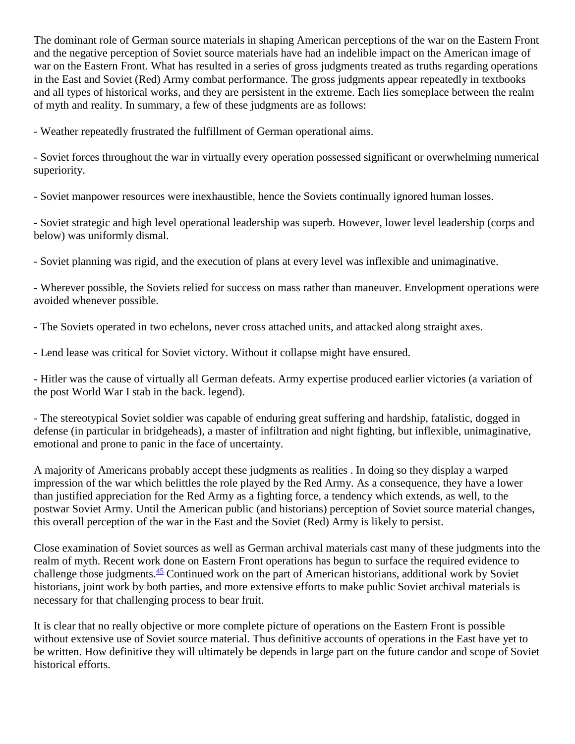The dominant role of German source materials in shaping American perceptions of the war on the Eastern Front and the negative perception of Soviet source materials have had an indelible impact on the American image of war on the Eastern Front. What has resulted in a series of gross judgments treated as truths regarding operations in the East and Soviet (Red) Army combat performance. The gross judgments appear repeatedly in textbooks and all types of historical works, and they are persistent in the extreme. Each lies someplace between the realm of myth and reality. In summary, a few of these judgments are as follows:

- Weather repeatedly frustrated the fulfillment of German operational aims.

- Soviet forces throughout the war in virtually every operation possessed significant or overwhelming numerical superiority.

- Soviet manpower resources were inexhaustible, hence the Soviets continually ignored human losses.

- Soviet strategic and high level operational leadership was superb. However, lower level leadership (corps and below) was uniformly dismal.

- Soviet planning was rigid, and the execution of plans at every level was inflexible and unimaginative.

- Wherever possible, the Soviets relied for success on mass rather than maneuver. Envelopment operations were avoided whenever possible.

- The Soviets operated in two echelons, never cross attached units, and attacked along straight axes.

- Lend lease was critical for Soviet victory. Without it collapse might have ensured.

- Hitler was the cause of virtually all German defeats. Army expertise produced earlier victories (a variation of the post World War I stab in the back. legend).

- The stereotypical Soviet soldier was capable of enduring great suffering and hardship, fatalistic, dogged in defense (in particular in bridgeheads), a master of infiltration and night fighting, but inflexible, unimaginative, emotional and prone to panic in the face of uncertainty.

A majority of Americans probably accept these judgments as realities . In doing so they display a warped impression of the war which belittles the role played by the Red Army. As a consequence, they have a lower than justified appreciation for the Red Army as a fighting force, a tendency which extends, as well, to the postwar Soviet Army. Until the American public (and historians) perception of Soviet source material changes, this overall perception of the war in the East and the Soviet (Red) Army is likely to persist.

Close examination of Soviet sources as well as German archival materials cast many of these judgments into the realm of myth. Recent work done on Eastern Front operations has begun to surface the required evidence to challenge those judgments. $\frac{45}{5}$  $\frac{45}{5}$  $\frac{45}{5}$  Continued work on the part of American historians, additional work by Soviet historians, joint work by both parties, and more extensive efforts to make public Soviet archival materials is necessary for that challenging process to bear fruit.

It is clear that no really objective or more complete picture of operations on the Eastern Front is possible without extensive use of Soviet source material. Thus definitive accounts of operations in the East have yet to be written. How definitive they will ultimately be depends in large part on the future candor and scope of Soviet historical efforts.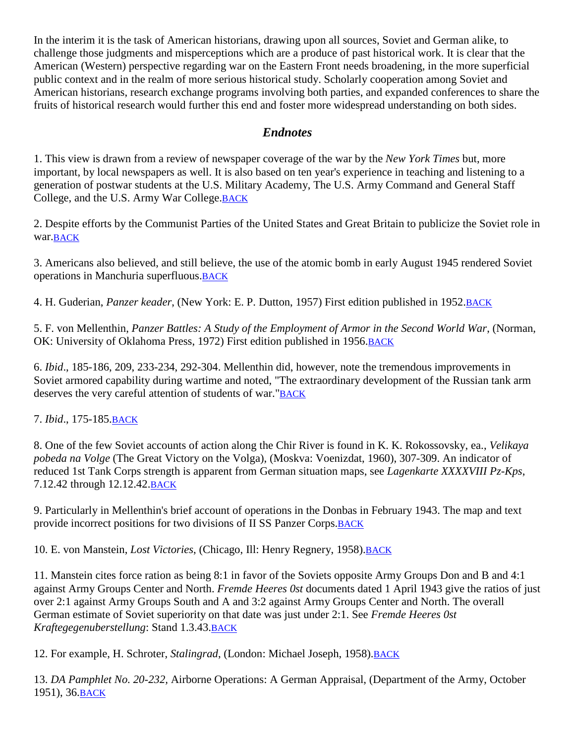In the interim it is the task of American historians, drawing upon all sources, Soviet and German alike, to challenge those judgments and misperceptions which are a produce of past historical work. It is clear that the American (Western) perspective regarding war on the Eastern Front needs broadening, in the more superficial public context and in the realm of more serious historical study. Scholarly cooperation among Soviet and American historians, research exchange programs involving both parties, and expanded conferences to share the fruits of historical research would further this end and foster more widespread understanding on both sides.

#### *Endnotes*

1. This view is drawn from a review of newspaper coverage of the war by the *New York Times* but, more important, by local newspapers as well. It is also based on ten year's experience in teaching and listening to a generation of postwar students at the U.S. Military Academy, The U.S. Army Command and General Staff College, and the U.S. Army War College[.BACK](http://fmso.leavenworth.army.mil/documents/e-front.htm#1a)

2. Despite efforts by the Communist Parties of the United States and Great Britain to publicize the Soviet role in war[.BACK](http://fmso.leavenworth.army.mil/documents/e-front.htm#2a)

3. Americans also believed, and still believe, the use of the atomic bomb in early August 1945 rendered Soviet operations in Manchuria superfluous[.BACK](http://fmso.leavenworth.army.mil/documents/e-front.htm#3a)

4. H. Guderian, *Panzer keader*, (New York: E. P. Dutton, 1957) First edition published in 1952[.BACK](http://fmso.leavenworth.army.mil/documents/e-front.htm#4a)

5. F. von Mellenthin, *Panzer Battles: A Study of the Employment of Armor in the Second World War*, (Norman, OK: University of Oklahoma Press, 1972) First edition published in 1956. BACK

6. *Ibid*., 185-186, 209, 233-234, 292-304. Mellenthin did, however, note the tremendous improvements in Soviet armored capability during wartime and noted, "The extraordinary development of the Russian tank arm deserves the very careful attention of students of war.["BACK](http://fmso.leavenworth.army.mil/documents/e-front.htm#6a)

#### 7. *Ibid*., 175-185[.BACK](http://fmso.leavenworth.army.mil/documents/e-front.htm#7a)

8. One of the few Soviet accounts of action along the Chir River is found in K. K. Rokossovsky, ea., *Velikaya pobeda na Volge* (The Great Victory on the Volga), (Moskva: Voenizdat, 1960), 307-309. An indicator of reduced 1st Tank Corps strength is apparent from German situation maps, see *Lagenkarte XXXXVIII Pz-Kps*, 7.12.42 through 12.12.42[.BACK](http://fmso.leavenworth.army.mil/documents/e-front.htm#8a)

9. Particularly in Mellenthin's brief account of operations in the Donbas in February 1943. The map and text provide incorrect positions for two divisions of II SS Panzer Corps[.BACK](http://fmso.leavenworth.army.mil/documents/e-front.htm#9a)

10. E. von Manstein, *Lost Victories*, (Chicago, Ill: Henry Regnery, 1958)[.BACK](http://fmso.leavenworth.army.mil/documents/e-front.htm#10a)

11. Manstein cites force ration as being 8:1 in favor of the Soviets opposite Army Groups Don and B and 4:1 against Army Groups Center and North. *Fremde Heeres 0st* documents dated 1 April 1943 give the ratios of just over 2:1 against Army Groups South and A and 3:2 against Army Groups Center and North. The overall German estimate of Soviet superiority on that date was just under 2:1. See *Fremde Heeres 0st Kraftegegenuberstellung*: Stand 1.3.43[.BACK](http://fmso.leavenworth.army.mil/documents/e-front.htm#11a)

12. For example, H. Schroter, *Stalingrad*, (London: Michael Joseph, 1958)[.BACK](http://fmso.leavenworth.army.mil/documents/e-front.htm#12a)

13. *DA Pamphlet No. 20-232,* Airborne Operations: A German Appraisal, (Department of the Army, October 1951), 36. BACK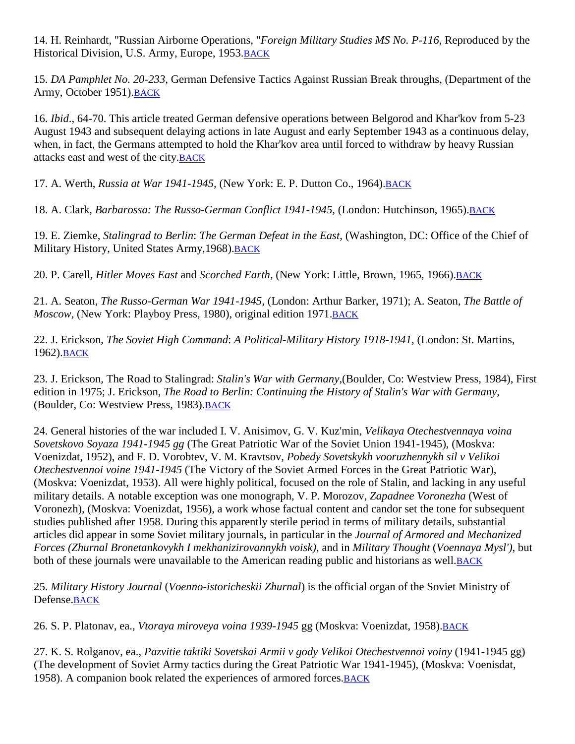14. H. Reinhardt, "Russian Airborne Operations, "*Foreign Military Studies MS No. P-116*, Reproduced by the Historical Division, U.S. Army, Europe, 1953[.BACK](http://fmso.leavenworth.army.mil/documents/e-front.htm#14a)

15. *DA Pamphlet No. 20-233,* German Defensive Tactics Against Russian Break throughs, (Department of the Army, October 1951)[.BACK](http://fmso.leavenworth.army.mil/documents/e-front.htm#15a)

16. *Ibid*., 64-70. This article treated German defensive operations between Belgorod and Khar'kov from 5-23 August 1943 and subsequent delaying actions in late August and early September 1943 as a continuous delay, when, in fact, the Germans attempted to hold the Khar'kov area until forced to withdraw by heavy Russian attacks east and west of the city[.BACK](http://fmso.leavenworth.army.mil/documents/e-front.htm#16a)

17. A. Werth, *Russia at War 1941-1945,* (New York: E. P. Dutton Co., 1964)[.BACK](http://fmso.leavenworth.army.mil/documents/e-front.htm#17a)

18. A. Clark, *Barbarossa: The Russo-German Conflict 1941-1945,* (London: Hutchinson, 1965)[.BACK](http://fmso.leavenworth.army.mil/documents/e-front.htm#18a)

19. E. Ziemke, *Stalingrad to Berlin*: *The German Defeat in the East*, (Washington, DC: Office of the Chief of Military History, United States Army,1968)[.BACK](http://fmso.leavenworth.army.mil/documents/e-front.htm#19a)

20. P. Carell, *Hitler Moves East* and *Scorched Earth,* (New York: Little, Brown, 1965, 1966)[.BACK](http://fmso.leavenworth.army.mil/documents/e-front.htm#20a)

21. A. Seaton, *The Russo-German War 1941-1945,* (London: Arthur Barker, 1971); A. Seaton, *The Battle of Moscow,* (New York: Playboy Press, 1980), original edition 1971[.BACK](http://fmso.leavenworth.army.mil/documents/e-front.htm#21a)

22. J. Erickson, *The Soviet High Command*: *A Political-Military History 1918-1941*, (London: St. Martins, 1962).**BACK** 

23. J. Erickson, The Road to Stalingrad: *Stalin's War with Germany*,(Boulder, Co: Westview Press, 1984), First edition in 1975; J. Erickson, *The Road to Berlin: Continuing the History of Stalin's War with Germany*, (Boulder, Co: Westview Press, 1983)[.BACK](http://fmso.leavenworth.army.mil/documents/e-front.htm#23a)

24. General histories of the war included I. V. Anisimov, G. V. Kuz'min, *Velikaya Otechestvennaya voina Sovetskovo Soyaza 1941-1945 gg* (The Great Patriotic War of the Soviet Union 1941-1945), (Moskva: Voenizdat, 1952), and F. D. Vorobtev, V. M. Kravtsov, *Pobedy Sovetskykh vooruzhennykh sil v Velikoi Otechestvennoi voine 1941-1945* (The Victory of the Soviet Armed Forces in the Great Patriotic War), (Moskva: Voenizdat, 1953). All were highly political, focused on the role of Stalin, and lacking in any useful military details. A notable exception was one monograph, V. P. Morozov, *Zapadnee Voronezha* (West of Voronezh), (Moskva: Voenizdat, 1956), a work whose factual content and candor set the tone for subsequent studies published after 1958. During this apparently sterile period in terms of military details, substantial articles did appear in some Soviet military journals, in particular in the *Journal of Armored and Mechanized Forces (Zhurnal Bronetankovykh I mekhanizirovannykh voisk)*, and in *Military Thought* (*Voennaya Mysl')*, but both of these journals were unavailable to the American reading public and historians as well. BACK

25. *Military History Journal* (*Voenno-istoricheskii Zhurnal*) is the official organ of the Soviet Ministry of Defense[.BACK](http://fmso.leavenworth.army.mil/documents/e-front.htm#25a)

26. S. P. Platonav, ea., *Vtoraya miroveya voina 1939-1945* gg (Moskva: Voenizdat, 1958)[.BACK](http://fmso.leavenworth.army.mil/documents/e-front.htm#26a)

27. K. S. Rolganov, ea., *Pazvitie taktiki Sovetskai Armii v gody Velikoi Otechestvennoi voiny* (1941-1945 gg) (The development of Soviet Army tactics during the Great Patriotic War 1941-1945), (Moskva: Voenisdat, 1958). A companion book related the experiences of armored forces. BACK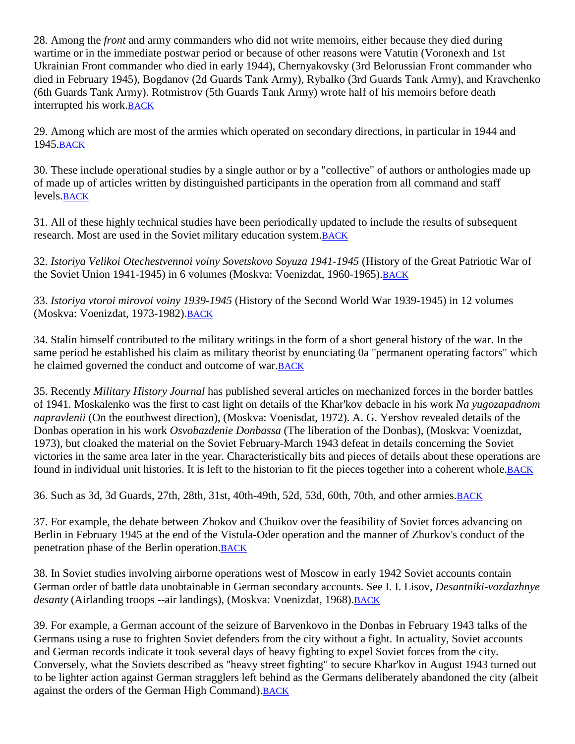28. Among the *front* and army commanders who did not write memoirs, either because they died during wartime or in the immediate postwar period or because of other reasons were Vatutin (Voronexh and 1st Ukrainian Front commander who died in early 1944), Chernyakovsky (3rd Belorussian Front commander who died in February 1945), Bogdanov (2d Guards Tank Army), Rybalko (3rd Guards Tank Army), and Kravchenko (6th Guards Tank Army). Rotmistrov (5th Guards Tank Army) wrote half of his memoirs before death interrupted his work[.BACK](http://fmso.leavenworth.army.mil/documents/e-front.htm#28a)

29. Among which are most of the armies which operated on secondary directions, in particular in 1944 and 1945. **BACK** 

30. These include operational studies by a single author or by a "collective" of authors or anthologies made up of made up of articles written by distinguished participants in the operation from all command and staff levels[.BACK](http://fmso.leavenworth.army.mil/documents/e-front.htm#30a)

31. All of these highly technical studies have been periodically updated to include the results of subsequent research. Most are used in the Soviet military education system[.BACK](http://fmso.leavenworth.army.mil/documents/e-front.htm#31a)

32. *Istoriya Velikoi Otechestvennoi voiny Sovetskovo Soyuza 1941-1945* (History of the Great Patriotic War of the Soviet Union 1941-1945) in 6 volumes (Moskva: Voenizdat, 1960-1965)[.BACK](http://fmso.leavenworth.army.mil/documents/e-front.htm#32a)

33. *Istoriya vtoroi mirovoi voiny 1939-1945* (History of the Second World War 1939-1945) in 12 volumes (Moskva: Voenizdat, 1973-1982). BACK

34. Stalin himself contributed to the military writings in the form of a short general history of the war. In the same period he established his claim as military theorist by enunciating 0a "permanent operating factors" which he claimed governed the conduct and outcome of war[.BACK](http://fmso.leavenworth.army.mil/documents/e-front.htm#34a)

35. Recently *Military History Journal* has published several articles on mechanized forces in the border battles of 1941. Moskalenko was the first to cast light on details of the Khar'kov debacle in his work *Na yugozapadnom napravlenii* (On the eouthwest direction), (Moskva: Voenisdat, 1972). A. G. Yershov revealed details of the Donbas operation in his work *Osvobazdenie Donbassa* (The liberation of the Donbas), (Moskva: Voenizdat, 1973), but cloaked the material on the Soviet February-March 1943 defeat in details concerning the Soviet victories in the same area later in the year. Characteristically bits and pieces of details about these operations are found in individual unit histories. It is left to the historian to fit the pieces together into a coherent whole.**BACK** 

36. Such as 3d, 3d Guards, 27th, 28th, 31st, 40th-49th, 52d, 53d, 60th, 70th, and other armies[.BACK](http://fmso.leavenworth.army.mil/documents/e-front.htm#36a)

37. For example, the debate between Zhokov and Chuikov over the feasibility of Soviet forces advancing on Berlin in February 1945 at the end of the Vistula-Oder operation and the manner of Zhurkov's conduct of the penetration phase of the Berlin operation[.BACK](http://fmso.leavenworth.army.mil/documents/e-front.htm#37a)

38. In Soviet studies involving airborne operations west of Moscow in early 1942 Soviet accounts contain German order of battle data unobtainable in German secondary accounts. See I. I. Lisov, *Desantniki-vozdazhnye*  desanty (Airlanding troops --air landings), (Moskva: Voenizdat, 1968). BACK

39. For example, a German account of the seizure of Barvenkovo in the Donbas in February 1943 talks of the Germans using a ruse to frighten Soviet defenders from the city without a fight. In actuality, Soviet accounts and German records indicate it took several days of heavy fighting to expel Soviet forces from the city. Conversely, what the Soviets described as "heavy street fighting" to secure Khar'kov in August 1943 turned out to be lighter action against German stragglers left behind as the Germans deliberately abandoned the city (albeit against the orders of the German High Command). BACK